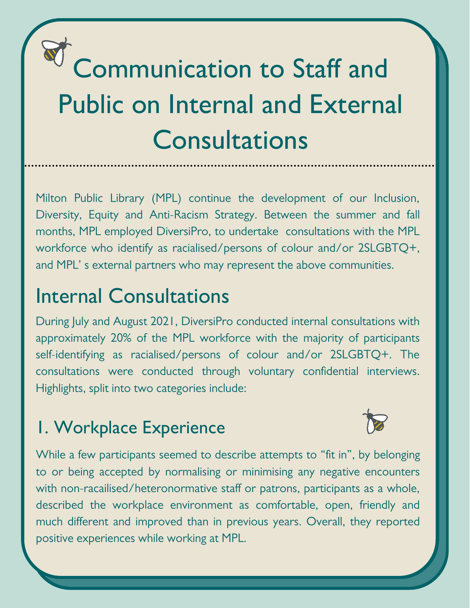# Communication to Staff and Public on Internal and External **Consultations**

Milton Public Library (MPL) continue the development of our Inclusion, Diversity, Equity and Anti-Racism Strategy. Between the summer and fall months, MPL employed DiversiPro, to undertake consultations with the MPL workforce who identify as racialised/persons of colour and/or 2SLGBTQ+, and MPL' s external partners who may represent the above communities.

## Internal Consultations

During July and August 2021, DiversiPro conducted internal consultations with approximately 20% of the MPL workforce with the majority of participants self-identifying as racialised/persons of colour and/or 2SLGBTQ+. The consultations were conducted through voluntary confidential interviews. Highlights, split into two categories include:

### 1. Workplace Experience



While a few participants seemed to describe attempts to "fit in", by belonging to or being accepted by normalising or minimising any negative encounters with non-racailised/heteronormative staff or patrons, participants as a whole, described the workplace environment as comfortable, open, friendly and much different and improved than in previous years. Overall, they reported positive experiences while working at MPL.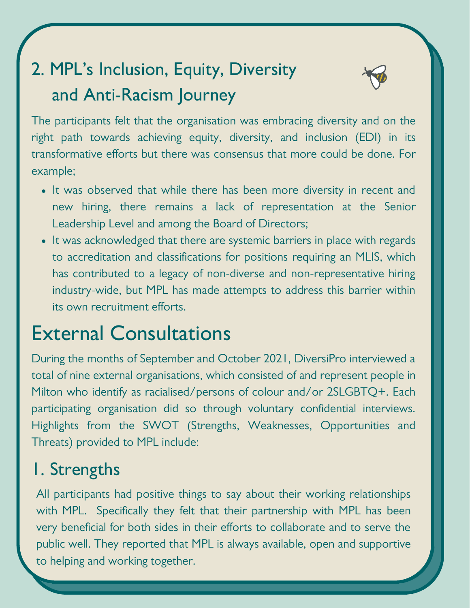# 2. MPL's Inclusion, Equity, Diversity and Anti-Racism Journey



The participants felt that the organisation was embracing diversity and on the right path towards achieving equity, diversity, and inclusion (EDI) in its transformative efforts but there was consensus that more could be done. For example;

- It was observed that while there has been more diversity in recent and new hiring, there remains a lack of representation at the Senior Leadership Level and among the Board of Directors;
- It was acknowledged that there are systemic barriers in place with regards to accreditation and classifications for positions requiring an MLIS, which has contributed to a legacy of non-diverse and non-representative hiring industry-wide, but MPL has made attempts to address this barrier within its own recruitment efforts.

# External Consultations

During the months of September and October 2021, DiversiPro interviewed a total of nine external organisations, which consisted of and represent people in Milton who identify as racialised/persons of colour and/or 2SLGBTQ+. Each participating organisation did so through voluntary confidential interviews. Highlights from the SWOT (Strengths, Weaknesses, Opportunities and Threats) provided to MPL include:

#### 1. Strengths

All participants had positive things to say about their working relationships with MPL. Specifically they felt that their partnership with MPL has been very beneficial for both sides in their efforts to collaborate and to serve the public well. They reported that MPL is always available, open and supportive to helping and working together.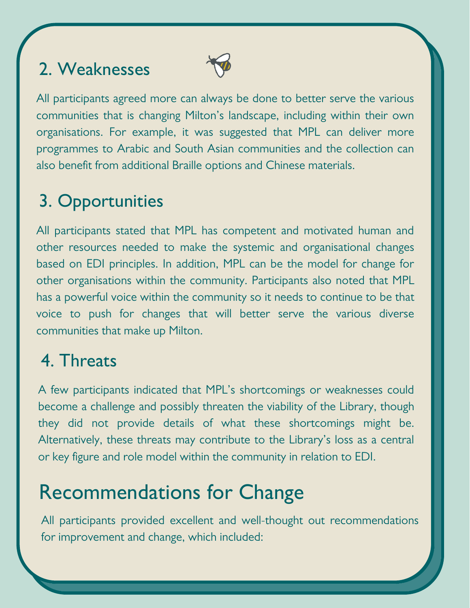#### 2. Weaknesses



All participants agreed more can always be done to better serve the various communities that is changing Milton's landscape, including within their own organisations. For example, it was suggested that MPL can deliver more programmes to Arabic and South Asian communities and the collection can also benefit from additional Braille options and Chinese materials.

## 3. Opportunities

All participants stated that MPL has competent and motivated human and other resources needed to make the systemic and organisational changes based on EDI principles. In addition, MPL can be the model for change for other organisations within the community. Participants also noted that MPL has a powerful voice within the community so it needs to continue to be that voice to push for changes that will better serve the various diverse communities that make up Milton.

#### 4. Threats

A few participants indicated that MPL's shortcomings or weaknesses could become a challenge and possibly threaten the viability of the Library, though they did not provide details of what these shortcomings might be. Alternatively, these threats may contribute to the Library's loss as a central or key figure and role model within the community in relation to EDI.

# Recommendations for Change

All participants provided excellent and well-thought out recommendations for improvement and change, which included: